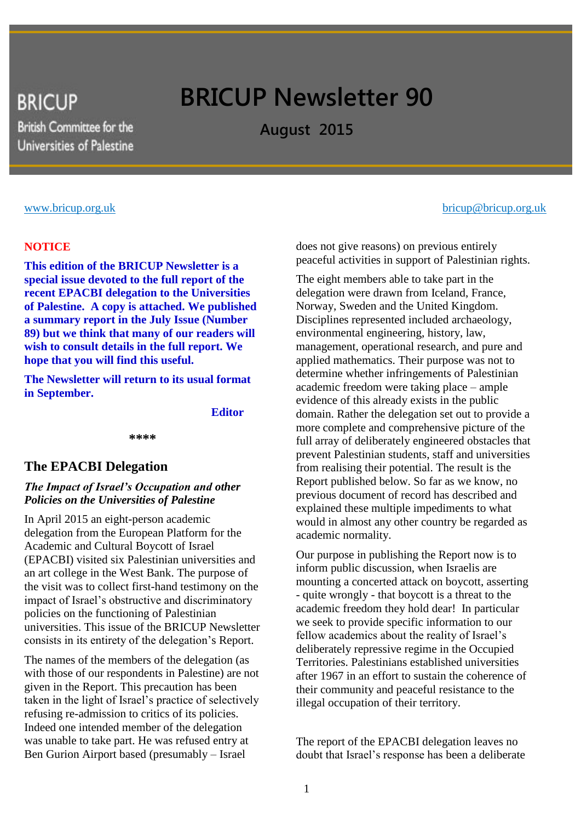# **BRICUP British Committee for the** Universities of Palestine

# **BRICUP Newsletter 90**

**August 2015**

#### **NOTICE**

**This edition of the BRICUP Newsletter is a special issue devoted to the full report of the recent EPACBI delegation to the Universities of Palestine. A copy is attached. We published a summary report in the July Issue (Number 89) but we think that many of our readers will wish to consult details in the full report. We hope that you will find this useful.** 

**The Newsletter will return to its usual format in September.**

 **Editor**

#### **\*\*\*\***

#### **The EPACBI Delegation**

#### *The Impact of Israel's Occupation and other Policies on the Universities of Palestine*

In April 2015 an eight-person academic delegation from the European Platform for the Academic and Cultural Boycott of Israel (EPACBI) visited six Palestinian universities and an art college in the West Bank. The purpose of the visit was to collect first-hand testimony on the impact of Israel's obstructive and discriminatory policies on the functioning of Palestinian universities. This issue of the BRICUP Newsletter consists in its entirety of the delegation's Report.

The names of the members of the delegation (as with those of our respondents in Palestine) are not given in the Report. This precaution has been taken in the light of Israel's practice of selectively refusing re-admission to critics of its policies. Indeed one intended member of the delegation was unable to take part. He was refused entry at Ben Gurion Airport based (presumably – Israel

#### [www.bricup.org.uk](http://www.bricup.org.uk/) bricup@bricup.org.uk

does not give reasons) on previous entirely peaceful activities in support of Palestinian rights.

The eight members able to take part in the delegation were drawn from Iceland, France, Norway, Sweden and the United Kingdom. Disciplines represented included archaeology, environmental engineering, history, law, management, operational research, and pure and applied mathematics. Their purpose was not to determine whether infringements of Palestinian academic freedom were taking place – ample evidence of this already exists in the public domain. Rather the delegation set out to provide a more complete and comprehensive picture of the full array of deliberately engineered obstacles that prevent Palestinian students, staff and universities from realising their potential. The result is the Report published below. So far as we know, no previous document of record has described and explained these multiple impediments to what would in almost any other country be regarded as academic normality.

Our purpose in publishing the Report now is to inform public discussion, when Israelis are mounting a concerted attack on boycott, asserting - quite wrongly - that boycott is a threat to the academic freedom they hold dear! In particular we seek to provide specific information to our fellow academics about the reality of Israel's deliberately repressive regime in the Occupied Territories. Palestinians established universities after 1967 in an effort to sustain the coherence of their community and peaceful resistance to the illegal occupation of their territory.

The report of the EPACBI delegation leaves no doubt that Israel's response has been a deliberate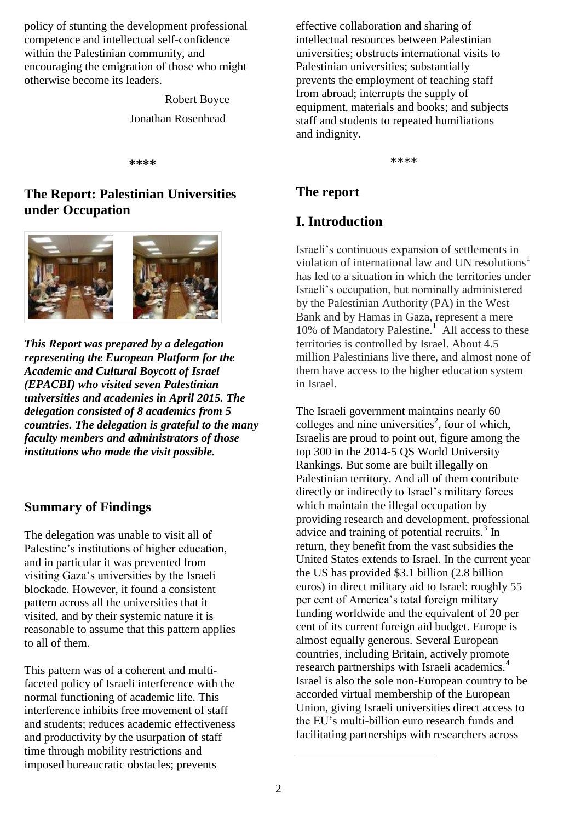policy of stunting the development professional competence and intellectual self-confidence within the Palestinian community, and encouraging the emigration of those who might otherwise become its leaders.

Robert Boyce

Jonathan Rosenhead

**\*\*\*\***

### **The Report: Palestinian Universities under Occupation**



*This Report was prepared by a delegation representing the European Platform for the Academic and Cultural Boycott of Israel (EPACBI) who visited seven Palestinian universities and academies in April 2015. The delegation consisted of 8 academics from 5 countries. The delegation is grateful to the many faculty members and administrators of those institutions who made the visit possible.*

# **Summary of Findings**

The delegation was unable to visit all of Palestine's institutions of higher education, and in particular it was prevented from visiting Gaza's universities by the Israeli blockade. However, it found a consistent pattern across all the universities that it visited, and by their systemic nature it is reasonable to assume that this pattern applies to all of them.

This pattern was of a coherent and multifaceted policy of Israeli interference with the normal functioning of academic life. This interference inhibits free movement of staff and students; reduces academic effectiveness and productivity by the usurpation of staff time through mobility restrictions and imposed bureaucratic obstacles; prevents

effective collaboration and sharing of intellectual resources between Palestinian universities; obstructs international visits to Palestinian universities; substantially prevents the employment of teaching staff from abroad; interrupts the supply of equipment, materials and books; and subjects staff and students to repeated humiliations and indignity.

\*\*\*\*

# **The report**

# **I. Introduction**

Israeli's continuous expansion of settlements in violation of international law and UN resolutions<sup>1</sup> has led to a situation in which the territories under Israeli's occupation, but nominally administered by the Palestinian Authority (PA) in the West Bank and by Hamas in Gaza, represent a mere 10% of Mandatory Palestine.<sup>1</sup> All access to these territories is controlled by Israel. About 4.5 million Palestinians live there, and almost none of them have access to the higher education system in Israel.

The Israeli government maintains nearly 60 colleges and nine universities<sup>2</sup>, four of which, Israelis are proud to point out, figure among the top 300 in the 2014-5 QS World University Rankings. But some are built illegally on Palestinian territory. And all of them contribute directly or indirectly to Israel's military forces which maintain the illegal occupation by providing research and development, professional advice and training of potential recruits.<sup>3</sup> In return, they benefit from the vast subsidies the United States extends to Israel. In the current year the US has provided \$3.1 billion (2.8 billion euros) in direct military aid to Israel: roughly 55 per cent of America's total foreign military funding worldwide and the equivalent of 20 per cent of its current foreign aid budget. Europe is almost equally generous. Several European countries, including Britain, actively promote research partnerships with Israeli academics.<sup>4</sup> Israel is also the sole non-European country to be accorded virtual membership of the European Union, giving Israeli universities direct access to the EU's multi-billion euro research funds and facilitating partnerships with researchers across

1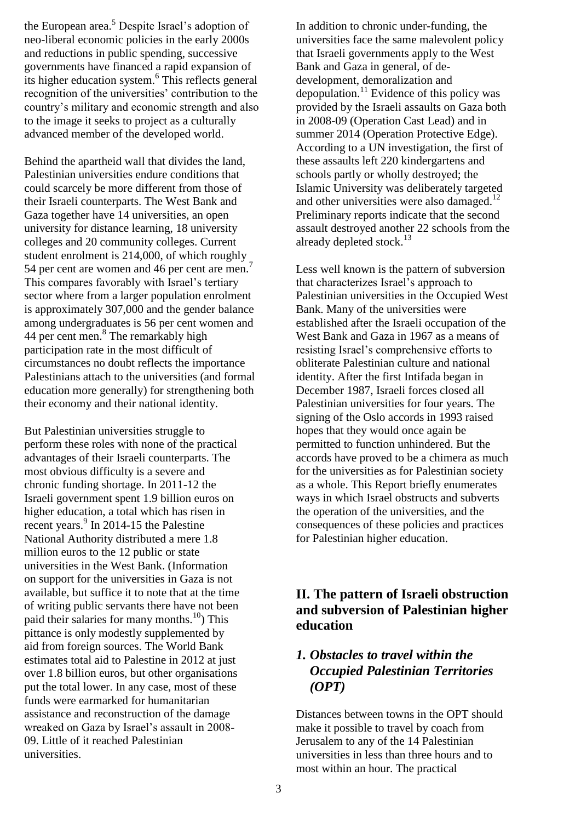the European area.<sup>5</sup> Despite Israel's adoption of neo-liberal economic policies in the early 2000s and reductions in public spending, successive governments have financed a rapid expansion of its higher education system.<sup>6</sup> This reflects general recognition of the universities' contribution to the country's military and economic strength and also to the image it seeks to project as a culturally advanced member of the developed world.

Behind the apartheid wall that divides the land, Palestinian universities endure conditions that could scarcely be more different from those of their Israeli counterparts. The West Bank and Gaza together have 14 universities, an open university for distance learning, 18 university colleges and 20 community colleges. Current student enrolment is 214,000, of which roughly 54 per cent are women and 46 per cent are men.<sup>7</sup> This compares favorably with Israel's tertiary sector where from a larger population enrolment is approximately 307,000 and the gender balance among undergraduates is 56 per cent women and 44 per cent men.<sup>8</sup> The remarkably high participation rate in the most difficult of circumstances no doubt reflects the importance Palestinians attach to the universities (and formal education more generally) for strengthening both their economy and their national identity.

But Palestinian universities struggle to perform these roles with none of the practical advantages of their Israeli counterparts. The most obvious difficulty is a severe and chronic funding shortage. In 2011-12 the Israeli government spent 1.9 billion euros on higher education, a total which has risen in recent years.<sup>9</sup> In 2014-15 the Palestine National Authority distributed a mere 1.8 million euros to the 12 public or state universities in the West Bank. (Information on support for the universities in Gaza is not available, but suffice it to note that at the time of writing public servants there have not been paid their salaries for many months.<sup>10</sup>) This pittance is only modestly supplemented by aid from foreign sources. The World Bank estimates total aid to Palestine in 2012 at just over 1.8 billion euros, but other organisations put the total lower. In any case, most of these funds were earmarked for humanitarian assistance and reconstruction of the damage wreaked on Gaza by Israel's assault in 2008- 09. Little of it reached Palestinian universities.

In addition to chronic under-funding, the universities face the same malevolent policy that Israeli governments apply to the West Bank and Gaza in general, of dedevelopment, demoralization and depopulation.<sup>11</sup> Evidence of this policy was provided by the Israeli assaults on Gaza both in 2008-09 (Operation Cast Lead) and in summer 2014 (Operation Protective Edge). According to a UN investigation, the first of these assaults left 220 kindergartens and schools partly or wholly destroyed; the Islamic University was deliberately targeted and other universities were also damaged.<sup>12</sup> Preliminary reports indicate that the second assault destroyed another 22 schools from the already depleted stock.<sup>13</sup>

Less well known is the pattern of subversion that characterizes Israel's approach to Palestinian universities in the Occupied West Bank. Many of the universities were established after the Israeli occupation of the West Bank and Gaza in 1967 as a means of resisting Israel's comprehensive efforts to obliterate Palestinian culture and national identity. After the first Intifada began in December 1987, Israeli forces closed all Palestinian universities for four years. The signing of the Oslo accords in 1993 raised hopes that they would once again be permitted to function unhindered. But the accords have proved to be a chimera as much for the universities as for Palestinian society as a whole. This Report briefly enumerates ways in which Israel obstructs and subverts the operation of the universities, and the consequences of these policies and practices for Palestinian higher education.

# **II. The pattern of Israeli obstruction and subversion of Palestinian higher education**

# *1. Obstacles to travel within the Occupied Palestinian Territories (OPT)*

Distances between towns in the OPT should make it possible to travel by coach from Jerusalem to any of the 14 Palestinian universities in less than three hours and to most within an hour. The practical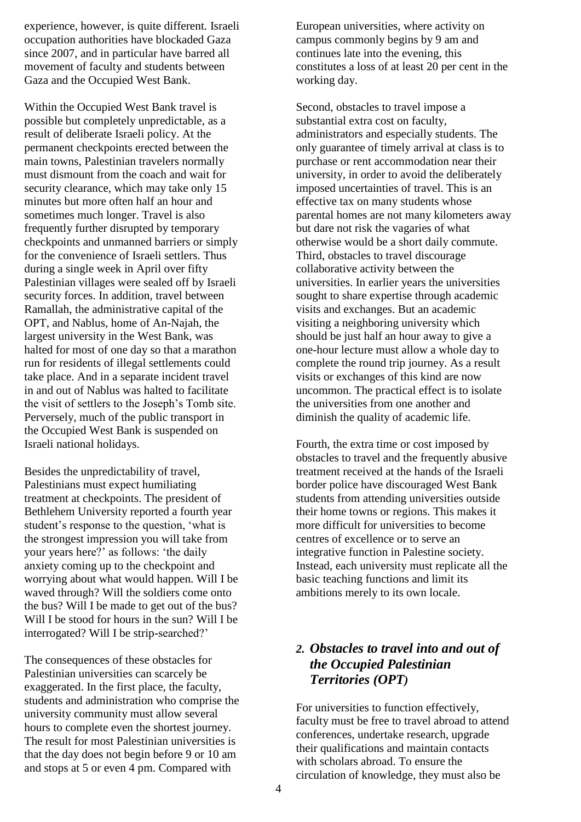experience, however, is quite different. Israeli occupation authorities have blockaded Gaza since 2007, and in particular have barred all movement of faculty and students between Gaza and the Occupied West Bank.

Within the Occupied West Bank travel is possible but completely unpredictable, as a result of deliberate Israeli policy. At the permanent checkpoints erected between the main towns, Palestinian travelers normally must dismount from the coach and wait for security clearance, which may take only 15 minutes but more often half an hour and sometimes much longer. Travel is also frequently further disrupted by temporary checkpoints and unmanned barriers or simply for the convenience of Israeli settlers. Thus during a single week in April over fifty Palestinian villages were sealed off by Israeli security forces. In addition, travel between Ramallah, the administrative capital of the OPT, and Nablus, home of An-Najah, the largest university in the West Bank, was halted for most of one day so that a marathon run for residents of illegal settlements could take place. And in a separate incident travel in and out of Nablus was halted to facilitate the visit of settlers to the Joseph's Tomb site. Perversely, much of the public transport in the Occupied West Bank is suspended on Israeli national holidays.

Besides the unpredictability of travel, Palestinians must expect humiliating treatment at checkpoints. The president of Bethlehem University reported a fourth year student's response to the question, 'what is the strongest impression you will take from your years here?' as follows: 'the daily anxiety coming up to the checkpoint and worrying about what would happen. Will I be waved through? Will the soldiers come onto the bus? Will I be made to get out of the bus? Will I be stood for hours in the sun? Will I be interrogated? Will I be strip-searched?'

The consequences of these obstacles for Palestinian universities can scarcely be exaggerated. In the first place, the faculty, students and administration who comprise the university community must allow several hours to complete even the shortest journey. The result for most Palestinian universities is that the day does not begin before 9 or 10 am and stops at 5 or even 4 pm. Compared with

European universities, where activity on campus commonly begins by 9 am and continues late into the evening, this constitutes a loss of at least 20 per cent in the working day.

Second, obstacles to travel impose a substantial extra cost on faculty, administrators and especially students. The only guarantee of timely arrival at class is to purchase or rent accommodation near their university, in order to avoid the deliberately imposed uncertainties of travel. This is an effective tax on many students whose parental homes are not many kilometers away but dare not risk the vagaries of what otherwise would be a short daily commute. Third, obstacles to travel discourage collaborative activity between the universities. In earlier years the universities sought to share expertise through academic visits and exchanges. But an academic visiting a neighboring university which should be just half an hour away to give a one-hour lecture must allow a whole day to complete the round trip journey. As a result visits or exchanges of this kind are now uncommon. The practical effect is to isolate the universities from one another and diminish the quality of academic life.

Fourth, the extra time or cost imposed by obstacles to travel and the frequently abusive treatment received at the hands of the Israeli border police have discouraged West Bank students from attending universities outside their home towns or regions. This makes it more difficult for universities to become centres of excellence or to serve an integrative function in Palestine society. Instead, each university must replicate all the basic teaching functions and limit its ambitions merely to its own locale.

### *2. Obstacles to travel into and out of the Occupied Palestinian Territories (OPT)*

For universities to function effectively, faculty must be free to travel abroad to attend conferences, undertake research, upgrade their qualifications and maintain contacts with scholars abroad. To ensure the circulation of knowledge, they must also be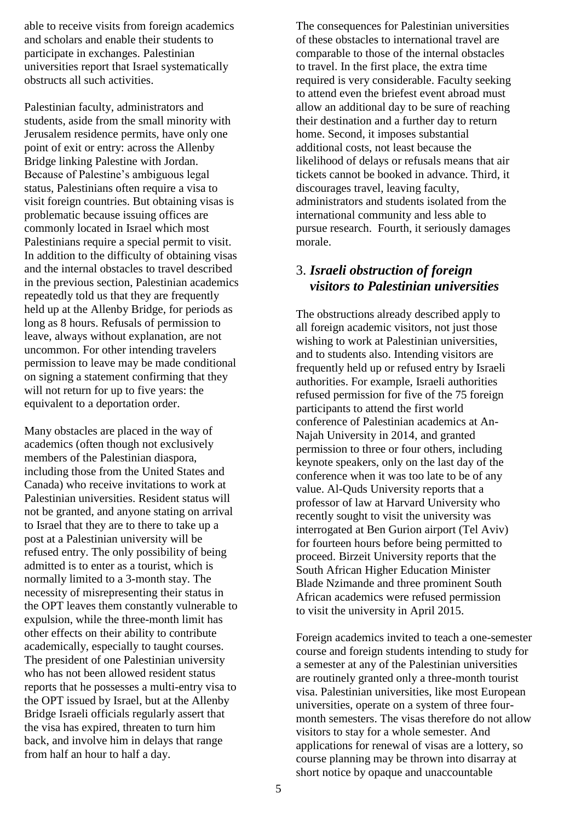able to receive visits from foreign academics and scholars and enable their students to participate in exchanges. Palestinian universities report that Israel systematically obstructs all such activities.

Palestinian faculty, administrators and students, aside from the small minority with Jerusalem residence permits, have only one point of exit or entry: across the Allenby Bridge linking Palestine with Jordan. Because of Palestine's ambiguous legal status, Palestinians often require a visa to visit foreign countries. But obtaining visas is problematic because issuing offices are commonly located in Israel which most Palestinians require a special permit to visit. In addition to the difficulty of obtaining visas and the internal obstacles to travel described in the previous section, Palestinian academics repeatedly told us that they are frequently held up at the Allenby Bridge, for periods as long as 8 hours. Refusals of permission to leave, always without explanation, are not uncommon. For other intending travelers permission to leave may be made conditional on signing a statement confirming that they will not return for up to five years: the equivalent to a deportation order.

Many obstacles are placed in the way of academics (often though not exclusively members of the Palestinian diaspora, including those from the United States and Canada) who receive invitations to work at Palestinian universities. Resident status will not be granted, and anyone stating on arrival to Israel that they are to there to take up a post at a Palestinian university will be refused entry. The only possibility of being admitted is to enter as a tourist, which is normally limited to a 3-month stay. The necessity of misrepresenting their status in the OPT leaves them constantly vulnerable to expulsion, while the three-month limit has other effects on their ability to contribute academically, especially to taught courses. The president of one Palestinian university who has not been allowed resident status reports that he possesses a multi-entry visa to the OPT issued by Israel, but at the Allenby Bridge Israeli officials regularly assert that the visa has expired, threaten to turn him back, and involve him in delays that range from half an hour to half a day.

The consequences for Palestinian universities of these obstacles to international travel are comparable to those of the internal obstacles to travel. In the first place, the extra time required is very considerable. Faculty seeking to attend even the briefest event abroad must allow an additional day to be sure of reaching their destination and a further day to return home. Second, it imposes substantial additional costs, not least because the likelihood of delays or refusals means that air tickets cannot be booked in advance. Third, it discourages travel, leaving faculty, administrators and students isolated from the international community and less able to pursue research. Fourth, it seriously damages morale.

## 3. *Israeli obstruction of foreign visitors to Palestinian universities*

The obstructions already described apply to all foreign academic visitors, not just those wishing to work at Palestinian universities, and to students also. Intending visitors are frequently held up or refused entry by Israeli authorities. For example, Israeli authorities refused permission for five of the 75 foreign participants to attend the first world conference of Palestinian academics at An-Najah University in 2014, and granted permission to three or four others, including keynote speakers, only on the last day of the conference when it was too late to be of any value. Al-Quds University reports that a professor of law at Harvard University who recently sought to visit the university was interrogated at Ben Gurion airport (Tel Aviv) for fourteen hours before being permitted to proceed. Birzeit University reports that the South African Higher Education Minister Blade Nzimande and three prominent South African academics were refused permission to visit the university in April 2015.

Foreign academics invited to teach a one-semester course and foreign students intending to study for a semester at any of the Palestinian universities are routinely granted only a three-month tourist visa. Palestinian universities, like most European universities, operate on a system of three fourmonth semesters. The visas therefore do not allow visitors to stay for a whole semester. And applications for renewal of visas are a lottery, so course planning may be thrown into disarray at short notice by opaque and unaccountable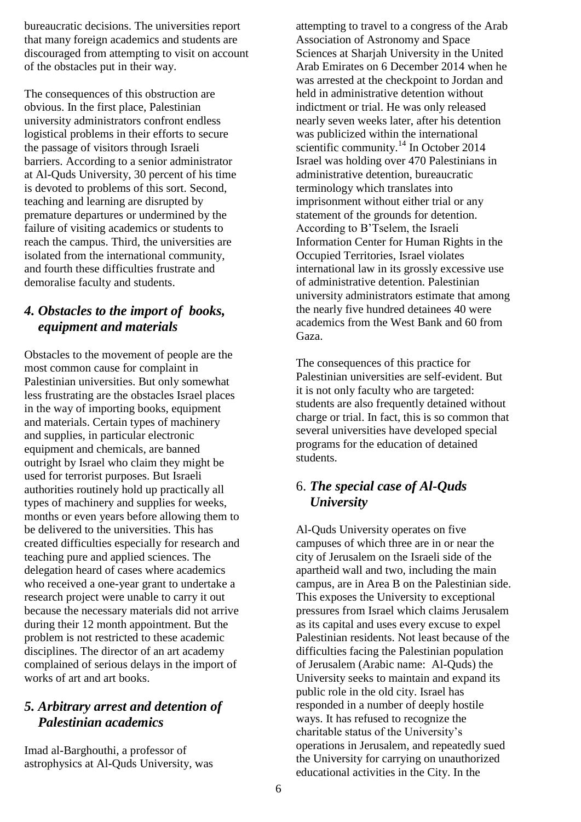bureaucratic decisions. The universities report that many foreign academics and students are discouraged from attempting to visit on account of the obstacles put in their way.

The consequences of this obstruction are obvious. In the first place, Palestinian university administrators confront endless logistical problems in their efforts to secure the passage of visitors through Israeli barriers. According to a senior administrator at Al-Quds University, 30 percent of his time is devoted to problems of this sort. Second, teaching and learning are disrupted by premature departures or undermined by the failure of visiting academics or students to reach the campus. Third, the universities are isolated from the international community, and fourth these difficulties frustrate and demoralise faculty and students.

# *4. Obstacles to the import of books, equipment and materials*

Obstacles to the movement of people are the most common cause for complaint in Palestinian universities. But only somewhat less frustrating are the obstacles Israel places in the way of importing books, equipment and materials. Certain types of machinery and supplies, in particular electronic equipment and chemicals, are banned outright by Israel who claim they might be used for terrorist purposes. But Israeli authorities routinely hold up practically all types of machinery and supplies for weeks, months or even years before allowing them to be delivered to the universities. This has created difficulties especially for research and teaching pure and applied sciences. The delegation heard of cases where academics who received a one-year grant to undertake a research project were unable to carry it out because the necessary materials did not arrive during their 12 month appointment. But the problem is not restricted to these academic disciplines. The director of an art academy complained of serious delays in the import of works of art and art books.

# *5. Arbitrary arrest and detention of Palestinian academics*

Imad al-Barghouthi, a professor of astrophysics at Al-Quds University, was

attempting to travel to a congress of the Arab Association of Astronomy and Space Sciences at Sharjah University in the United Arab Emirates on 6 December 2014 when he was arrested at the checkpoint to Jordan and held in administrative detention without indictment or trial. He was only released nearly seven weeks later, after his detention was publicized within the international scientific community.<sup>14</sup> In October 2014 Israel was holding over 470 Palestinians in administrative detention, bureaucratic terminology which translates into imprisonment without either trial or any statement of the grounds for detention. According to B'Tselem, the Israeli Information Center for Human Rights in the Occupied Territories, Israel violates international law in its grossly excessive use of administrative detention. Palestinian university administrators estimate that among the nearly five hundred detainees 40 were academics from the West Bank and 60 from Gaza.

The consequences of this practice for Palestinian universities are self-evident. But it is not only faculty who are targeted: students are also frequently detained without charge or trial. In fact, this is so common that several universities have developed special programs for the education of detained students.

# 6. *The special case of Al-Quds University*

Al-Quds University operates on five campuses of which three are in or near the city of Jerusalem on the Israeli side of the apartheid wall and two, including the main campus, are in Area B on the Palestinian side. This exposes the University to exceptional pressures from Israel which claims Jerusalem as its capital and uses every excuse to expel Palestinian residents. Not least because of the difficulties facing the Palestinian population of Jerusalem (Arabic name: Al-Quds) the University seeks to maintain and expand its public role in the old city. Israel has responded in a number of deeply hostile ways. It has refused to recognize the charitable status of the University's operations in Jerusalem, and repeatedly sued the University for carrying on unauthorized educational activities in the City. In the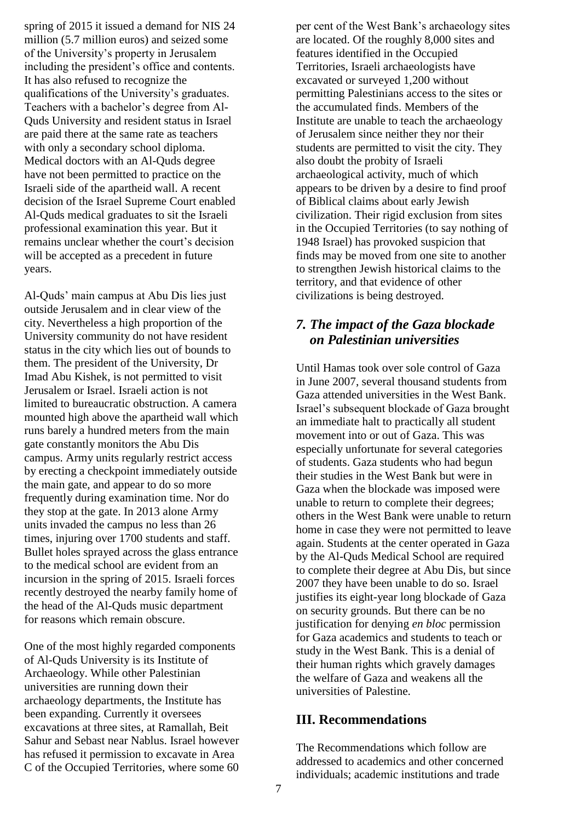spring of 2015 it issued a demand for NIS 24 million (5.7 million euros) and seized some of the University's property in Jerusalem including the president's office and contents. It has also refused to recognize the qualifications of the University's graduates. Teachers with a bachelor's degree from Al-Quds University and resident status in Israel are paid there at the same rate as teachers with only a secondary school diploma. Medical doctors with an Al-Quds degree have not been permitted to practice on the Israeli side of the apartheid wall. A recent decision of the Israel Supreme Court enabled Al-Quds medical graduates to sit the Israeli professional examination this year. But it remains unclear whether the court's decision will be accepted as a precedent in future years.

Al-Quds' main campus at Abu Dis lies just outside Jerusalem and in clear view of the city. Nevertheless a high proportion of the University community do not have resident status in the city which lies out of bounds to them. The president of the University, Dr Imad Abu Kishek, is not permitted to visit Jerusalem or Israel. Israeli action is not limited to bureaucratic obstruction. A camera mounted high above the apartheid wall which runs barely a hundred meters from the main gate constantly monitors the Abu Dis campus. Army units regularly restrict access by erecting a checkpoint immediately outside the main gate, and appear to do so more frequently during examination time. Nor do they stop at the gate. In 2013 alone Army units invaded the campus no less than 26 times, injuring over 1700 students and staff. Bullet holes sprayed across the glass entrance to the medical school are evident from an incursion in the spring of 2015. Israeli forces recently destroyed the nearby family home of the head of the Al-Quds music department for reasons which remain obscure.

One of the most highly regarded components of Al-Quds University is its Institute of Archaeology. While other Palestinian universities are running down their archaeology departments, the Institute has been expanding. Currently it oversees excavations at three sites, at Ramallah, Beit Sahur and Sebast near Nablus. Israel however has refused it permission to excavate in Area C of the Occupied Territories, where some 60

per cent of the West Bank's archaeology sites are located. Of the roughly 8,000 sites and features identified in the Occupied Territories, Israeli archaeologists have excavated or surveyed 1,200 without permitting Palestinians access to the sites or the accumulated finds. Members of the Institute are unable to teach the archaeology of Jerusalem since neither they nor their students are permitted to visit the city. They also doubt the probity of Israeli archaeological activity, much of which appears to be driven by a desire to find proof of Biblical claims about early Jewish civilization. Their rigid exclusion from sites in the Occupied Territories (to say nothing of 1948 Israel) has provoked suspicion that finds may be moved from one site to another to strengthen Jewish historical claims to the territory, and that evidence of other civilizations is being destroyed.

# *7. The impact of the Gaza blockade on Palestinian universities*

Until Hamas took over sole control of Gaza in June 2007, several thousand students from Gaza attended universities in the West Bank. Israel's subsequent blockade of Gaza brought an immediate halt to practically all student movement into or out of Gaza. This was especially unfortunate for several categories of students. Gaza students who had begun their studies in the West Bank but were in Gaza when the blockade was imposed were unable to return to complete their degrees; others in the West Bank were unable to return home in case they were not permitted to leave again. Students at the center operated in Gaza by the Al-Quds Medical School are required to complete their degree at Abu Dis, but since 2007 they have been unable to do so. Israel justifies its eight-year long blockade of Gaza on security grounds. But there can be no justification for denying *en bloc* permission for Gaza academics and students to teach or study in the West Bank. This is a denial of their human rights which gravely damages the welfare of Gaza and weakens all the universities of Palestine.

#### **III. Recommendations**

The Recommendations which follow are addressed to academics and other concerned individuals; academic institutions and trade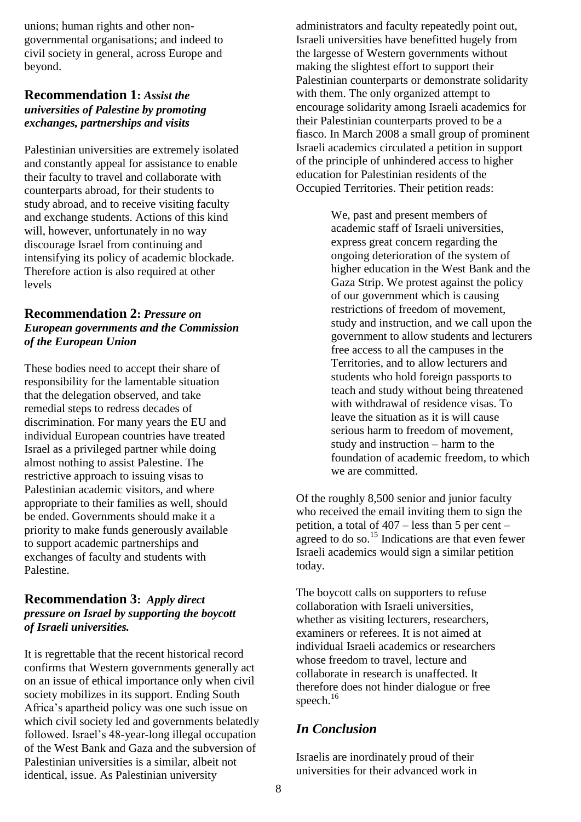unions; human rights and other nongovernmental organisations; and indeed to civil society in general, across Europe and beyond.

#### **Recommendation 1:** *Assist the universities of Palestine by promoting exchanges, partnerships and visits*

Palestinian universities are extremely isolated and constantly appeal for assistance to enable their faculty to travel and collaborate with counterparts abroad, for their students to study abroad, and to receive visiting faculty and exchange students. Actions of this kind will, however, unfortunately in no way discourage Israel from continuing and intensifying its policy of academic blockade. Therefore action is also required at other levels

#### **Recommendation 2:** *Pressure on European governments and the Commission of the European Union*

These bodies need to accept their share of responsibility for the lamentable situation that the delegation observed, and take remedial steps to redress decades of discrimination. For many years the EU and individual European countries have treated Israel as a privileged partner while doing almost nothing to assist Palestine. The restrictive approach to issuing visas to Palestinian academic visitors, and where appropriate to their families as well, should be ended. Governments should make it a priority to make funds generously available to support academic partnerships and exchanges of faculty and students with Palestine.

#### **Recommendation 3:** *Apply direct pressure on Israel by supporting the boycott of Israeli universities.*

It is regrettable that the recent historical record confirms that Western governments generally act on an issue of ethical importance only when civil society mobilizes in its support. Ending South Africa's apartheid policy was one such issue on which civil society led and governments belatedly followed. Israel's 48-year-long illegal occupation of the West Bank and Gaza and the subversion of Palestinian universities is a similar, albeit not identical, issue. As Palestinian university

administrators and faculty repeatedly point out, Israeli universities have benefitted hugely from the largesse of Western governments without making the slightest effort to support their Palestinian counterparts or demonstrate solidarity with them. The only organized attempt to encourage solidarity among Israeli academics for their Palestinian counterparts proved to be a fiasco. In March 2008 a small group of prominent Israeli academics circulated a petition in support of the principle of unhindered access to higher education for Palestinian residents of the Occupied Territories. Their petition reads:

> We, past and present members of academic staff of Israeli universities, express great concern regarding the ongoing deterioration of the system of higher education in the West Bank and the Gaza Strip. We protest against the policy of our government which is causing restrictions of freedom of movement, study and instruction, and we call upon the government to allow students and lecturers free access to all the campuses in the Territories, and to allow lecturers and students who hold foreign passports to teach and study without being threatened with withdrawal of residence visas. To leave the situation as it is will cause serious harm to freedom of movement, study and instruction – harm to the foundation of academic freedom, to which we are committed.

Of the roughly 8,500 senior and junior faculty who received the email inviting them to sign the petition, a total of 407 – less than 5 per cent – agreed to do so.<sup>15</sup> Indications are that even fewer Israeli academics would sign a similar petition today.

The boycott calls on supporters to refuse collaboration with Israeli universities, whether as visiting lecturers, researchers, examiners or referees. It is not aimed at individual Israeli academics or researchers whose freedom to travel, lecture and collaborate in research is unaffected. It therefore does not hinder dialogue or free speech. $16$ 

# *In Conclusion*

Israelis are inordinately proud of their universities for their advanced work in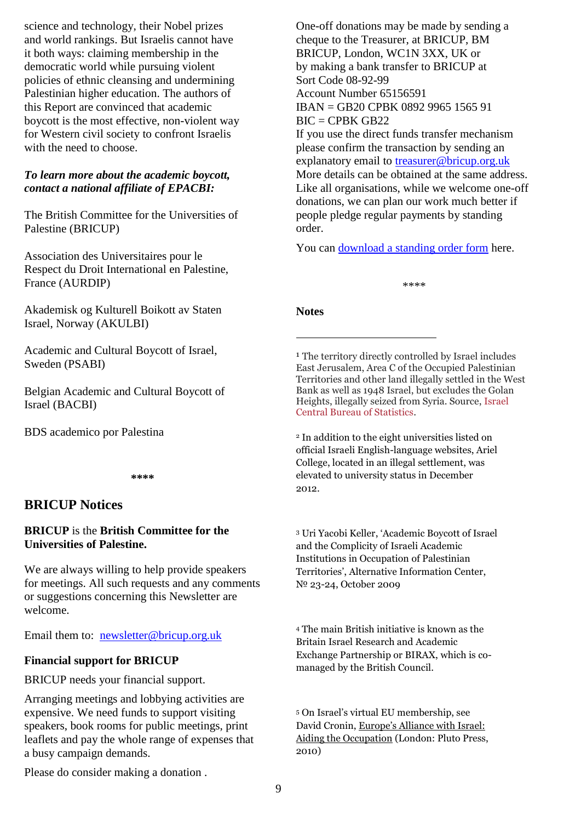science and technology, their Nobel prizes and world rankings. But Israelis cannot have it both ways: claiming membership in the democratic world while pursuing violent policies of ethnic cleansing and undermining Palestinian higher education. The authors of this Report are convinced that academic boycott is the most effective, non-violent way for Western civil society to confront Israelis with the need to choose.

#### *To learn more about the academic boycott, contact a national affiliate of EPACBI:*

The British Committee for the Universities of Palestine (BRICUP)

Association des Universitaires pour le Respect du Droit International en Palestine, France (AURDIP)

Akademisk og Kulturell Boikott av Staten Israel, Norway (AKULBI)

Academic and Cultural Boycott of Israel, Sweden (PSABI)

Belgian Academic and Cultural Boycott of Israel (BACBI)

BDS academico por Palestina

**\*\*\*\***

# **BRICUP Notices**

#### **BRICUP** is the **British Committee for the Universities of Palestine.**

We are always willing to help provide speakers for meetings. All such requests and any comments or suggestions concerning this Newsletter are welcome.

Email them to: [newsletter@bricup.org.uk](mailto:newsletter@bricup.org.uk) 

#### **Financial support for BRICUP**

BRICUP needs your financial support.

Arranging meetings and lobbying activities are expensive. We need funds to support visiting speakers, book rooms for public meetings, print leaflets and pay the whole range of expenses that a busy campaign demands.

Please do consider making a donation .

One-off donations may be made by sending a cheque to the Treasurer, at BRICUP, BM BRICUP, London, WC1N 3XX, UK or by making a bank transfer to BRICUP at Sort Code 08-92-99 Account Number 65156591 IBAN = GB20 CPBK 0892 9965 1565 91  $BIC = CPBK GB22$ If you use the direct funds transfer mechanism please confirm the transaction by sending an explanatory email to [treasurer@bricup.org.uk](mailto:treasurer@bricup.org.uk) More details can be obtained at the same address. Like all organisations, while we welcome one-off donations, we can plan our work much better if people pledge regular payments by standing order.

You can **download** a standing order form here.

\*\*\*\*

#### **Notes**

1

1 The territory directly controlled by Israel includes East Jerusalem, Area C of the Occupied Palestinian Territories and other land illegally settled in the West Bank as well as 1948 Israel, but excludes the Golan Heights, illegally seized from Syria. Source, [Israel](https://en.wikipedia.org/wiki/Geography_of_Israel)  [Central Bureau of Statistics.](https://en.wikipedia.org/wiki/Geography_of_Israel)

<sup>2</sup> In addition to the eight universities listed on official Israeli English-language websites, Ariel College, located in an illegal settlement, was elevated to university status in December 2012.

<sup>3</sup> Uri Yacobi Keller, 'Academic Boycott of Israel and the Complicity of Israeli Academic Institutions in Occupation of Palestinian Territories', Alternative Information Center, № 23-24, October 2009

<sup>4</sup> The main British initiative is known as the Britain Israel Research and Academic Exchange Partnership or BIRAX, which is comanaged by the British Council.

<sup>5</sup> On Israel's virtual EU membership, see David Cronin, Europe's Alliance with Israel: Aiding the Occupation (London: Pluto Press, 2010)